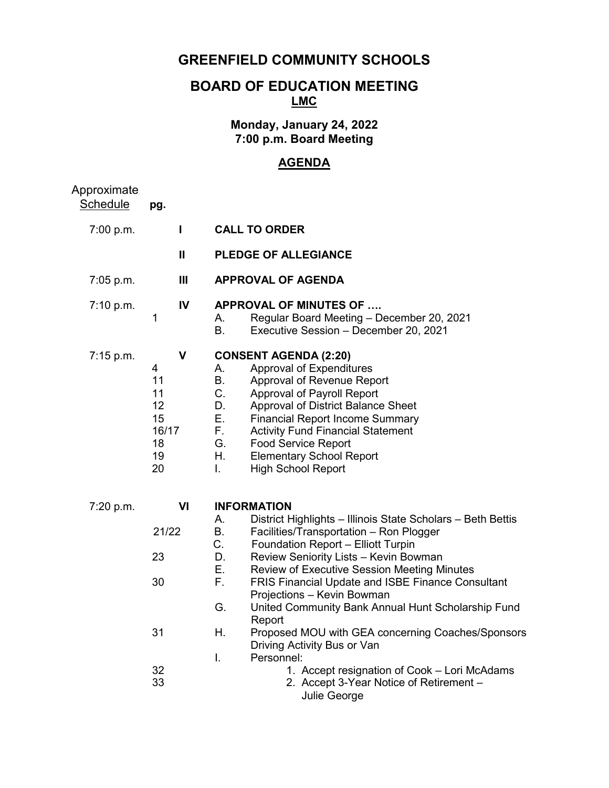# **GREENFIELD COMMUNITY SCHOOLS**

# **BOARD OF EDUCATION MEETING LMC**

## **Monday, January 24, 2022 7:00 p.m. Board Meeting**

## **AGENDA**

| Approximate<br>Schedule | pg.                                                                 |                                                                                                                                                                                                                                                                                                                                                                                                                                                                                                                                                                                                                                                                                |  |  |
|-------------------------|---------------------------------------------------------------------|--------------------------------------------------------------------------------------------------------------------------------------------------------------------------------------------------------------------------------------------------------------------------------------------------------------------------------------------------------------------------------------------------------------------------------------------------------------------------------------------------------------------------------------------------------------------------------------------------------------------------------------------------------------------------------|--|--|
| 7:00 p.m.               | $\mathbf{I}$                                                        | <b>CALL TO ORDER</b>                                                                                                                                                                                                                                                                                                                                                                                                                                                                                                                                                                                                                                                           |  |  |
|                         | Ш                                                                   | <b>PLEDGE OF ALLEGIANCE</b>                                                                                                                                                                                                                                                                                                                                                                                                                                                                                                                                                                                                                                                    |  |  |
| 7:05 p.m.               | Ш                                                                   | <b>APPROVAL OF AGENDA</b>                                                                                                                                                                                                                                                                                                                                                                                                                                                                                                                                                                                                                                                      |  |  |
| 7:10 p.m.               | IV<br>1                                                             | <b>APPROVAL OF MINUTES OF </b><br>Regular Board Meeting - December 20, 2021<br>А.<br><b>B.</b><br>Executive Session - December 20, 2021                                                                                                                                                                                                                                                                                                                                                                                                                                                                                                                                        |  |  |
| 7:15 p.m.               | $\mathbf V$<br>4<br>11<br>11<br>12<br>15<br>16/17<br>18<br>19<br>20 | <b>CONSENT AGENDA (2:20)</b><br>Approval of Expenditures<br>А.<br>Approval of Revenue Report<br><b>B.</b><br>C.<br>Approval of Payroll Report<br>D.<br>Approval of District Balance Sheet<br>Ε.<br><b>Financial Report Income Summary</b><br>F.<br><b>Activity Fund Financial Statement</b><br>G.<br><b>Food Service Report</b><br>Η.<br><b>Elementary School Report</b><br><b>High School Report</b><br>L.                                                                                                                                                                                                                                                                    |  |  |
| 7:20 p.m.               | VI<br>21/22<br>23<br>30<br>31<br>32<br>33                           | <b>INFORMATION</b><br>District Highlights - Illinois State Scholars - Beth Bettis<br>А.<br>В.<br>Facilities/Transportation - Ron Plogger<br>C.<br>Foundation Report - Elliott Turpin<br>D.<br>Review Seniority Lists - Kevin Bowman<br>Ε.<br><b>Review of Executive Session Meeting Minutes</b><br>F.<br><b>FRIS Financial Update and ISBE Finance Consultant</b><br>Projections - Kevin Bowman<br>G.<br>United Community Bank Annual Hunt Scholarship Fund<br>Report<br>Η.<br>Proposed MOU with GEA concerning Coaches/Sponsors<br>Driving Activity Bus or Van<br>I.<br>Personnel:<br>1. Accept resignation of Cook – Lori McAdams<br>2. Accept 3-Year Notice of Retirement - |  |  |
|                         |                                                                     | Julie George                                                                                                                                                                                                                                                                                                                                                                                                                                                                                                                                                                                                                                                                   |  |  |